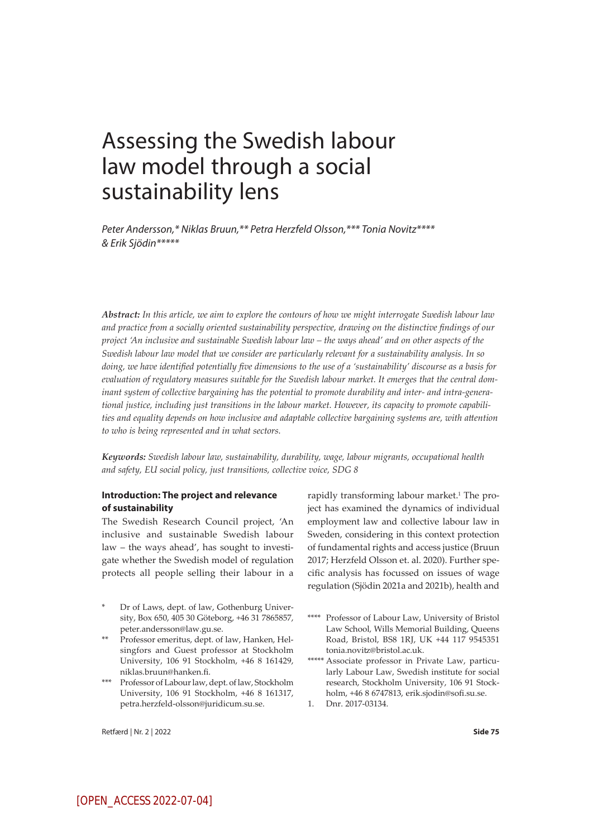# Assessing the Swedish labour law model through a social sustainability lens

*Peter Andersson,\* Niklas Bruun,\*\* Petra Herzfeld Olsson,\*\*\* Tonia Novitz\*\*\*\* & Erik Sjödin\*\*\*\*\**

*Abstract: In this article, we aim to explore the contours of how we might interrogate Swedish labour law and practice from a socially oriented sustainability perspective, drawing on the distinctive findings of our project 'An inclusive and sustainable Swedish labour law – the ways ahead' and on other aspects of the Swedish labour law model that we consider are particularly relevant for a sustainability analysis. In so doing, we have identified potentially five dimensions to the use of a 'sustainability' discourse as a basis for evaluation of regulatory measures suitable for the Swedish labour market. It emerges that the central dominant system of collective bargaining has the potential to promote durability and inter- and intra-generational justice, including just transitions in the labour market. However, its capacity to promote capabilities and equality depends on how inclusive and adaptable collective bargaining systems are, with attention to who is being represented and in what sectors.*

*Keywords: Swedish labour law, sustainability, durability, wage, labour migrants, occupational health and safety, EU social policy, just transitions, collective voice, SDG 8*

## **Introduction: The project and relevance of sustainability**

The Swedish Research Council project, 'An inclusive and sustainable Swedish labour law – the ways ahead', has sought to investigate whether the Swedish model of regulation protects all people selling their labour in a

- Dr of Laws, dept. of law, Gothenburg University, Box 650, 405 30 Göteborg, +46 31 7865857, peter.andersson@law.gu.se.
- \*\* Professor emeritus, dept. of law, Hanken, Helsingfors and Guest professor at Stockholm University, 106 91 Stockholm, +46 8 161429, niklas.bruun@hanken.fi.
- \*\*\* Professor ofLabourlaw,dept. oflaw, Stockholm University, 106 91 Stockholm, +46 8 161317, petra.herzfeld-olsson@juridicum.su.se.

rapidly transforming labour market.<sup>1</sup> The project has examined the dynamics of individual employment law and collective labour law in Sweden, considering in this context protection of fundamental rights and access justice (Bruun 2017; Herzfeld Olsson et. al. 2020). Further specific analysis has focussed on issues of wage regulation (Sjödin 2021a and 2021b), health and

- \*\*\*\* Professor of Labour Law, University of Bristol Law School, Wills Memorial Building, Queens Road, Bristol, BS8 1RJ, UK +44 117 9545351 tonia.novitz@bristol.ac.uk.
- \*\*\*\*\* Associate professor in Private Law, particularly Labour Law, Swedish institute for social research, Stockholm University, 106 91 Stockholm, +46 8 6747813, erik.sjodin@sofi.su.se.
- 1. Dnr. 2017-03134.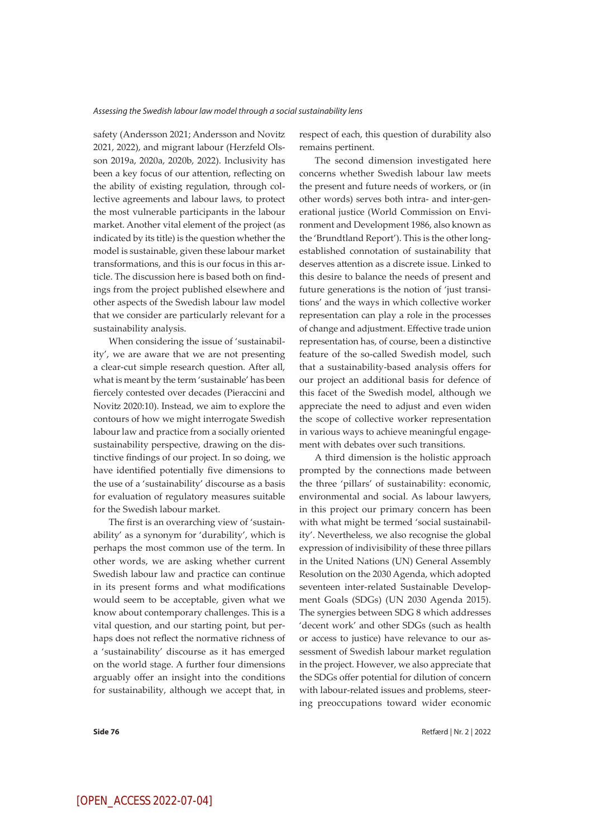safety (Andersson 2021; Andersson and Novitz 2021, 2022), and migrant labour (Herzfeld Olsson 2019a, 2020a, 2020b, 2022). Inclusivity has been a key focus of our attention, reflecting on the ability of existing regulation, through collective agreements and labour laws, to protect the most vulnerable participants in the labour market. Another vital element of the project (as indicated by its title) is the question whether the model is sustainable, given these labour market transformations, and this is our focus in this article. The discussion here is based both on findings from the project published elsewhere and other aspects of the Swedish labour law model that we consider are particularly relevant for a sustainability analysis.

When considering the issue of 'sustainability', we are aware that we are not presenting a clear-cut simple research question. After all, what is meant by the term 'sustainable' has been fiercely contested over decades (Pieraccini and Novitz 2020:10). Instead, we aim to explore the contours of how we might interrogate Swedish labour law and practice from a socially oriented sustainability perspective, drawing on the distinctive findings of our project. In so doing, we have identified potentially five dimensions to the use of a 'sustainability' discourse as a basis for evaluation of regulatory measures suitable for the Swedish labour market.

The first is an overarching view of 'sustainability' as a synonym for 'durability', which is perhaps the most common use of the term. In other words, we are asking whether current Swedish labour law and practice can continue in its present forms and what modifications would seem to be acceptable, given what we know about contemporary challenges. This is a vital question, and our starting point, but perhaps does not reflect the normative richness of a 'sustainability' discourse as it has emerged on the world stage. A further four dimensions arguably offer an insight into the conditions for sustainability, although we accept that, in respect of each, this question of durability also remains pertinent.

The second dimension investigated here concerns whether Swedish labour law meets the present and future needs of workers, or (in other words) serves both intra- and inter-generational justice (World Commission on Environment and Development 1986, also known as the 'Brundtland Report'). This is the other longestablished connotation of sustainability that deserves attention as a discrete issue. Linked to this desire to balance the needs of present and future generations is the notion of 'just transitions' and the ways in which collective worker representation can play a role in the processes of change and adjustment. Effective trade union representation has, of course, been a distinctive feature of the so-called Swedish model, such that a sustainability-based analysis offers for our project an additional basis for defence of this facet of the Swedish model, although we appreciate the need to adjust and even widen the scope of collective worker representation in various ways to achieve meaningful engagement with debates over such transitions.

A third dimension is the holistic approach prompted by the connections made between the three 'pillars' of sustainability: economic, environmental and social. As labour lawyers, in this project our primary concern has been with what might be termed 'social sustainability'. Nevertheless, we also recognise the global expression of indivisibility of these three pillars in the United Nations (UN) General Assembly Resolution on the 2030 Agenda, which adopted seventeen inter-related Sustainable Development Goals (SDGs) (UN 2030 Agenda 2015). The synergies between SDG 8 which addresses 'decent work' and other SDGs (such as health or access to justice) have relevance to our assessment of Swedish labour market regulation in the project. However, we also appreciate that the SDGs offer potential for dilution of concern with labour-related issues and problems, steering preoccupations toward wider economic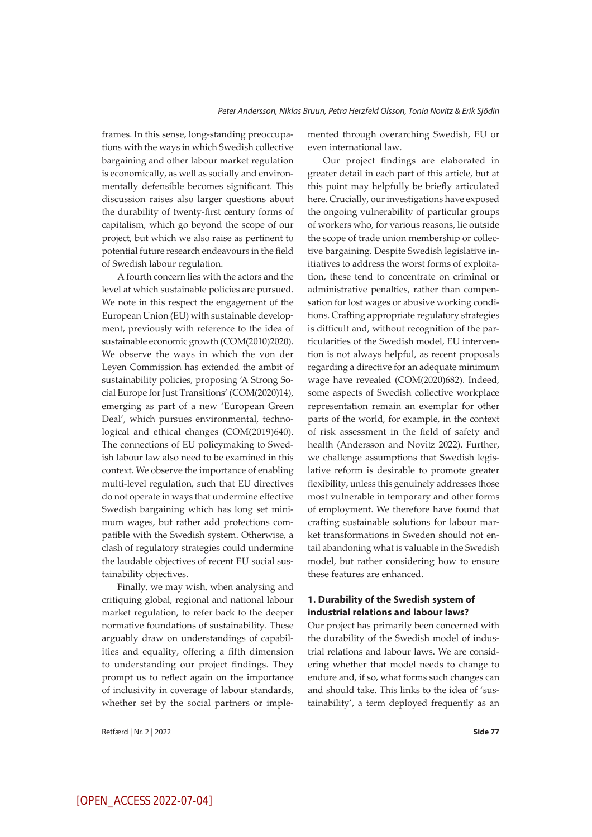frames. In this sense, long-standing preoccupations with the ways in which Swedish collective bargaining and other labour market regulation is economically, as well as socially and environmentally defensible becomes significant. This discussion raises also larger questions about the durability of twenty-first century forms of capitalism, which go beyond the scope of our project, but which we also raise as pertinent to potential future research endeavours in the field of Swedish labour regulation.

A fourth concern lies with the actors and the level at which sustainable policies are pursued. We note in this respect the engagement of the European Union (EU) with sustainable development, previously with reference to the idea of sustainable economic growth (COM(2010)2020). We observe the ways in which the von der Leyen Commission has extended the ambit of sustainability policies, proposing 'A Strong Social Europe for Just Transitions' (COM(2020)14), emerging as part of a new 'European Green Deal', which pursues environmental, technological and ethical changes (COM(2019)640). The connections of EU policymaking to Swedish labour law also need to be examined in this context. We observe the importance of enabling multi-level regulation, such that EU directives do not operate in ways that undermine effective Swedish bargaining which has long set minimum wages, but rather add protections compatible with the Swedish system. Otherwise, a clash of regulatory strategies could undermine the laudable objectives of recent EU social sustainability objectives.

Finally, we may wish, when analysing and critiquing global, regional and national labour market regulation, to refer back to the deeper normative foundations of sustainability. These arguably draw on understandings of capabilities and equality, offering a fifth dimension to understanding our project findings. They prompt us to reflect again on the importance of inclusivity in coverage of labour standards, whether set by the social partners or imple-

Retfærd | Nr. 2 | 2022 **Side 77**

mented through overarching Swedish, EU or even international law.

Our project findings are elaborated in greater detail in each part of this article, but at this point may helpfully be briefly articulated here. Crucially, our investigations have exposed the ongoing vulnerability of particular groups of workers who, for various reasons, lie outside the scope of trade union membership or collective bargaining. Despite Swedish legislative initiatives to address the worst forms of exploitation, these tend to concentrate on criminal or administrative penalties, rather than compensation for lost wages or abusive working conditions. Crafting appropriate regulatory strategies is difficult and, without recognition of the particularities of the Swedish model, EU intervention is not always helpful, as recent proposals regarding a directive for an adequate minimum wage have revealed (COM(2020)682). Indeed, some aspects of Swedish collective workplace representation remain an exemplar for other parts of the world, for example, in the context of risk assessment in the field of safety and health (Andersson and Novitz 2022). Further, we challenge assumptions that Swedish legislative reform is desirable to promote greater flexibility, unless this genuinely addresses those most vulnerable in temporary and other forms of employment. We therefore have found that crafting sustainable solutions for labour market transformations in Sweden should not entail abandoning what is valuable in the Swedish model, but rather considering how to ensure these features are enhanced.

## **1. Durability of the Swedish system of industrial relations and labour laws?**

Our project has primarily been concerned with the durability of the Swedish model of industrial relations and labour laws. We are considering whether that model needs to change to endure and, if so, what forms such changes can and should take. This links to the idea of 'sustainability', a term deployed frequently as an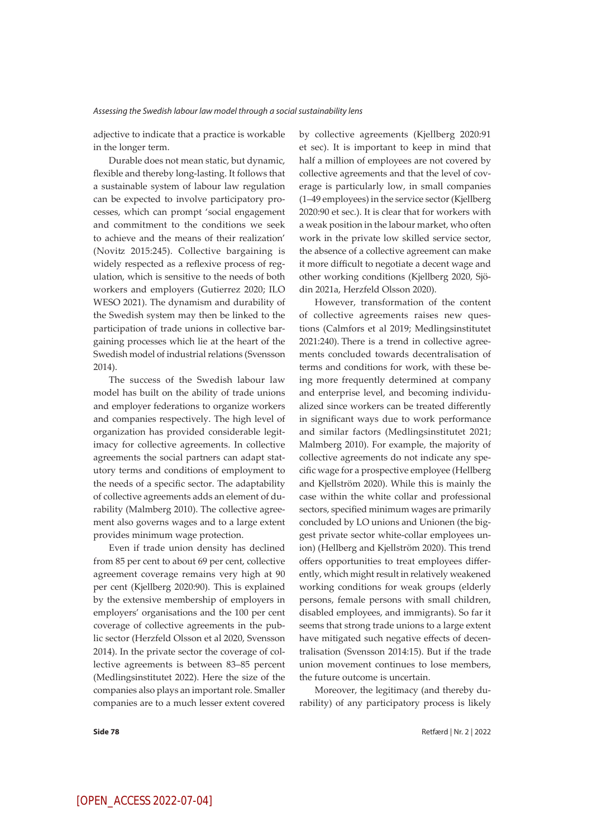adjective to indicate that a practice is workable in the longer term.

Durable does not mean static, but dynamic, flexible and thereby long-lasting. It follows that a sustainable system of labour law regulation can be expected to involve participatory processes, which can prompt 'social engagement and commitment to the conditions we seek to achieve and the means of their realization' (Novitz 2015:245). Collective bargaining is widely respected as a reflexive process of regulation, which is sensitive to the needs of both workers and employers (Gutierrez 2020; ILO WESO 2021). The dynamism and durability of the Swedish system may then be linked to the participation of trade unions in collective bargaining processes which lie at the heart of the Swedish model of industrial relations (Svensson 2014).

The success of the Swedish labour law model has built on the ability of trade unions and employer federations to organize workers and companies respectively. The high level of organization has provided considerable legitimacy for collective agreements. In collective agreements the social partners can adapt statutory terms and conditions of employment to the needs of a specific sector. The adaptability of collective agreements adds an element of durability (Malmberg 2010). The collective agreement also governs wages and to a large extent provides minimum wage protection.

Even if trade union density has declined from 85 per cent to about 69 per cent, collective agreement coverage remains very high at 90 per cent (Kjellberg 2020:90). This is explained by the extensive membership of employers in employers' organisations and the 100 per cent coverage of collective agreements in the public sector (Herzfeld Olsson et al 2020, Svensson 2014). In the private sector the coverage of collective agreements is between 83–85 percent (Medlingsinstitutet 2022). Here the size of the companies also plays an important role. Smaller companies are to a much lesser extent covered by collective agreements (Kjellberg 2020:91 et sec). It is important to keep in mind that half a million of employees are not covered by collective agreements and that the level of coverage is particularly low, in small companies (1–49 employees) in the service sector(Kjellberg 2020:90 et sec.). It is clear that for workers with a weak position in the labour market, who often work in the private low skilled service sector, the absence of a collective agreement can make it more difficult to negotiate a decent wage and other working conditions (Kjellberg 2020, Sjödin 2021a, Herzfeld Olsson 2020).

However, transformation of the content of collective agreements raises new questions (Calmfors et al 2019; Medlingsinstitutet 2021:240). There is a trend in collective agreements concluded towards decentralisation of terms and conditions for work, with these being more frequently determined at company and enterprise level, and becoming individualized since workers can be treated differently in significant ways due to work performance and similar factors (Medlingsinstitutet 2021; Malmberg 2010). For example, the majority of collective agreements do not indicate any specific wage for a prospective employee (Hellberg and Kjellström 2020). While this is mainly the case within the white collar and professional sectors, specified minimum wages are primarily concluded by LO unions and Unionen (the biggest private sector white-collar employees union) (Hellberg and Kjellström 2020). This trend offers opportunities to treat employees differently, which might result in relatively weakened working conditions for weak groups (elderly persons, female persons with small children, disabled employees, and immigrants). So far it seems that strong trade unions to a large extent have mitigated such negative effects of decentralisation (Svensson 2014:15). But if the trade union movement continues to lose members, the future outcome is uncertain.

Moreover, the legitimacy (and thereby durability) of any participatory process is likely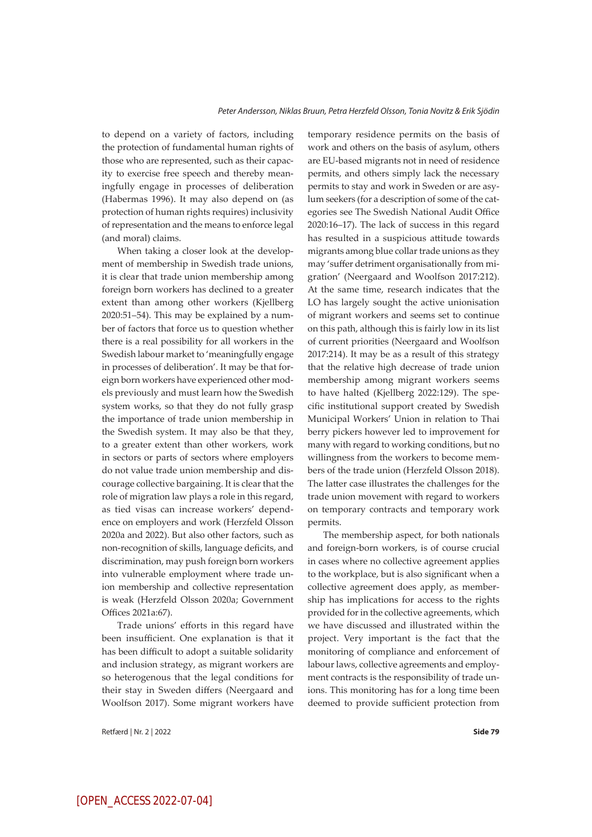to depend on a variety of factors, including the protection of fundamental human rights of those who are represented, such as their capacity to exercise free speech and thereby meaningfully engage in processes of deliberation (Habermas 1996). It may also depend on (as protection of human rights requires) inclusivity of representation and the means to enforce legal (and moral) claims.

When taking a closer look at the development of membership in Swedish trade unions, it is clear that trade union membership among foreign born workers has declined to a greater extent than among other workers (Kjellberg 2020:51–54). This may be explained by a number of factors that force us to question whether there is a real possibility for all workers in the Swedish labour market to 'meaningfully engage in processes of deliberation'. It may be that foreign born workers have experienced other models previously and must learn how the Swedish system works, so that they do not fully grasp the importance of trade union membership in the Swedish system. It may also be that they, to a greater extent than other workers, work in sectors or parts of sectors where employers do not value trade union membership and discourage collective bargaining. It is clear that the role of migration law plays a role in this regard, as tied visas can increase workers' dependence on employers and work (Herzfeld Olsson 2020a and 2022). But also other factors, such as non-recognition of skills, language deficits, and discrimination, may push foreign born workers into vulnerable employment where trade union membership and collective representation is weak (Herzfeld Olsson 2020a; Government Offices 2021a:67).

Trade unions' efforts in this regard have been insufficient. One explanation is that it has been difficult to adopt a suitable solidarity and inclusion strategy, as migrant workers are so heterogenous that the legal conditions for their stay in Sweden differs (Neergaard and Woolfson 2017). Some migrant workers have

Retfærd | Nr. 2 | 2022 **Side 79**

temporary residence permits on the basis of work and others on the basis of asylum, others are EU-based migrants not in need of residence permits, and others simply lack the necessary permits to stay and work in Sweden or are asylum seekers (for a description of some of the categories see The Swedish National Audit Office 2020:16–17). The lack of success in this regard has resulted in a suspicious attitude towards migrants among blue collar trade unions as they may 'suffer detriment organisationally from migration' (Neergaard and Woolfson 2017:212). At the same time, research indicates that the LO has largely sought the active unionisation of migrant workers and seems set to continue on this path, although this is fairly low in its list of current priorities (Neergaard and Woolfson 2017:214). It may be as a result of this strategy that the relative high decrease of trade union membership among migrant workers seems to have halted (Kjellberg 2022:129). The specific institutional support created by Swedish Municipal Workers' Union in relation to Thai berry pickers however led to improvement for many with regard to working conditions, but no willingness from the workers to become members of the trade union (Herzfeld Olsson 2018). The latter case illustrates the challenges for the trade union movement with regard to workers on temporary contracts and temporary work permits.

The membership aspect, for both nationals and foreign-born workers, is of course crucial in cases where no collective agreement applies to the workplace, but is also significant when a collective agreement does apply, as membership has implications for access to the rights provided for in the collective agreements, which we have discussed and illustrated within the project. Very important is the fact that the monitoring of compliance and enforcement of labour laws, collective agreements and employment contracts is the responsibility of trade unions. This monitoring has for a long time been deemed to provide sufficient protection from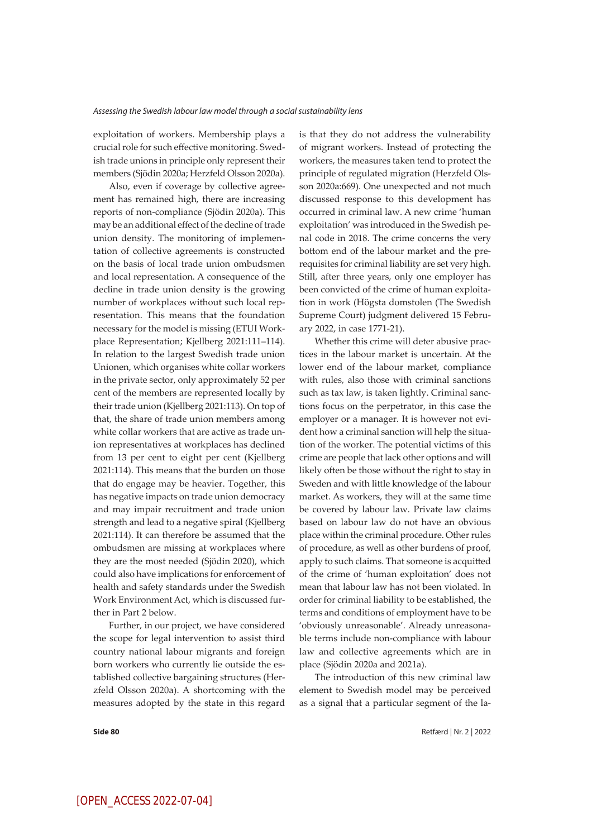exploitation of workers. Membership plays a crucial role for such effective monitoring. Swedish trade unions in principle only represent their members (Sjödin 2020a; Herzfeld Olsson 2020a).

Also, even if coverage by collective agreement has remained high, there are increasing reports of non-compliance (Sjödin 2020a). This may be an additional effect of the decline of trade union density. The monitoring of implementation of collective agreements is constructed on the basis of local trade union ombudsmen and local representation. A consequence of the decline in trade union density is the growing number of workplaces without such local representation. This means that the foundation necessary for the model is missing (ETUI Workplace Representation; Kjellberg 2021:111–114). In relation to the largest Swedish trade union Unionen, which organises white collar workers in the private sector, only approximately 52 per cent of the members are represented locally by their trade union (Kjellberg 2021:113). On top of that, the share of trade union members among white collar workers that are active as trade union representatives at workplaces has declined from 13 per cent to eight per cent (Kjellberg 2021:114). This means that the burden on those that do engage may be heavier. Together, this has negative impacts on trade union democracy and may impair recruitment and trade union strength and lead to a negative spiral (Kjellberg 2021:114). It can therefore be assumed that the ombudsmen are missing at workplaces where they are the most needed (Sjödin 2020), which could also have implications for enforcement of health and safety standards under the Swedish Work Environment Act, which is discussed further in Part 2 below.

Further, in our project, we have considered the scope for legal intervention to assist third country national labour migrants and foreign born workers who currently lie outside the established collective bargaining structures (Herzfeld Olsson 2020a). A shortcoming with the measures adopted by the state in this regard

is that they do not address the vulnerability of migrant workers. Instead of protecting the workers, the measures taken tend to protect the principle of regulated migration (Herzfeld Olsson 2020a:669). One unexpected and not much discussed response to this development has occurred in criminal law. A new crime 'human exploitation' was introduced in the Swedish penal code in 2018. The crime concerns the very bottom end of the labour market and the prerequisites for criminal liability are set very high. Still, after three years, only one employer has been convicted of the crime of human exploitation in work (Högsta domstolen (The Swedish Supreme Court) judgment delivered 15 February 2022, in case 1771-21).

Whether this crime will deter abusive practices in the labour market is uncertain. At the lower end of the labour market, compliance with rules, also those with criminal sanctions such as tax law, is taken lightly. Criminal sanctions focus on the perpetrator, in this case the employer or a manager. It is however not evident how a criminal sanction will help the situation of the worker. The potential victims of this crime are people that lack other options and will likely often be those without the right to stay in Sweden and with little knowledge of the labour market. As workers, they will at the same time be covered by labour law. Private law claims based on labour law do not have an obvious place within the criminal procedure. Other rules of procedure, as well as other burdens of proof, apply to such claims. That someone is acquitted of the crime of 'human exploitation' does not mean that labour law has not been violated. In order for criminal liability to be established, the terms and conditions of employment have to be 'obviously unreasonable'. Already unreasonable terms include non-compliance with labour law and collective agreements which are in place (Sjödin 2020a and 2021a).

The introduction of this new criminal law element to Swedish model may be perceived as a signal that a particular segment of the la-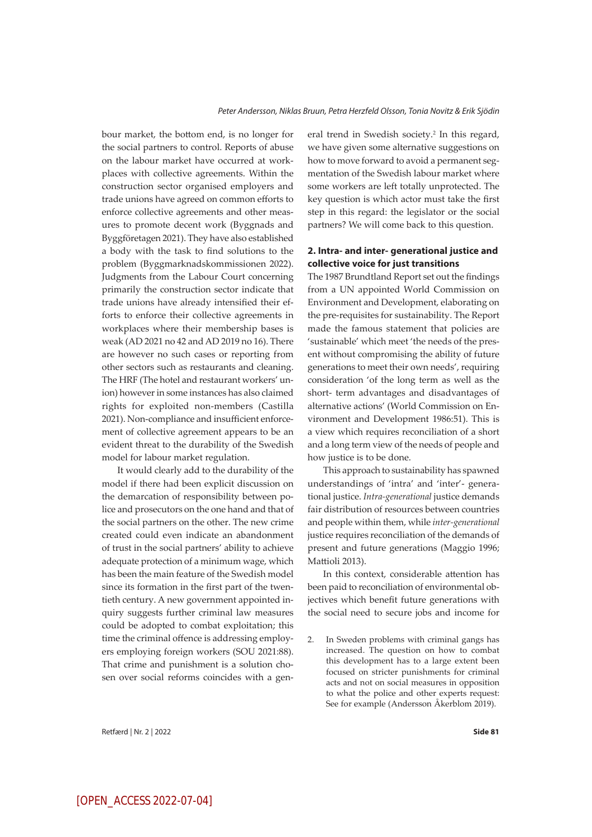bour market, the bottom end, is no longer for the social partners to control. Reports of abuse on the labour market have occurred at workplaces with collective agreements. Within the construction sector organised employers and trade unions have agreed on common efforts to enforce collective agreements and other measures to promote decent work (Byggnads and Byggföretagen 2021). They have also established a body with the task to find solutions to the problem (Byggmarknadskommissionen 2022). Judgments from the Labour Court concerning primarily the construction sector indicate that trade unions have already intensified their efforts to enforce their collective agreements in workplaces where their membership bases is weak (AD 2021 no 42 and AD 2019 no 16). There are however no such cases or reporting from other sectors such as restaurants and cleaning. The HRF (The hotel and restaurant workers' union) however in some instances has also claimed rights for exploited non-members (Castilla 2021). Non-compliance and insufficient enforcement of collective agreement appears to be an evident threat to the durability of the Swedish model for labour market regulation.

It would clearly add to the durability of the model if there had been explicit discussion on the demarcation of responsibility between police and prosecutors on the one hand and that of the social partners on the other. The new crime created could even indicate an abandonment of trust in the social partners' ability to achieve adequate protection of a minimum wage, which has been the main feature of the Swedish model since its formation in the first part of the twentieth century. A new government appointed inquiry suggests further criminal law measures could be adopted to combat exploitation; this time the criminal offence is addressing employers employing foreign workers (SOU 2021:88). That crime and punishment is a solution chosen over social reforms coincides with a general trend in Swedish society.<sup>2</sup> In this regard, we have given some alternative suggestions on how to move forward to avoid a permanent segmentation of the Swedish labour market where some workers are left totally unprotected. The key question is which actor must take the first step in this regard: the legislator or the social partners? We will come back to this question.

## **2. Intra- and inter- generational justice and collective voice for just transitions**

The 1987 Brundtland Report set out the findings from a UN appointed World Commission on Environment and Development, elaborating on the pre-requisites for sustainability. The Report made the famous statement that policies are 'sustainable' which meet 'the needs of the present without compromising the ability of future generations to meet their own needs', requiring consideration 'of the long term as well as the short- term advantages and disadvantages of alternative actions' (World Commission on Environment and Development 1986:51). This is a view which requires reconciliation of a short and a long term view of the needs of people and how justice is to be done.

This approach to sustainability has spawned understandings of 'intra' and 'inter'- generational justice. *Intra-generational* justice demands fair distribution of resources between countries and people within them, while *inter-generational* justice requires reconciliation of the demands of present and future generations (Maggio 1996; Mattioli 2013).

In this context, considerable attention has been paid to reconciliation of environmental objectives which benefit future generations with the social need to secure jobs and income for

2. In Sweden problems with criminal gangs has increased. The question on how to combat this development has to a large extent been focused on stricter punishments for criminal acts and not on social measures in opposition to what the police and other experts request: See for example (Andersson Åkerblom 2019).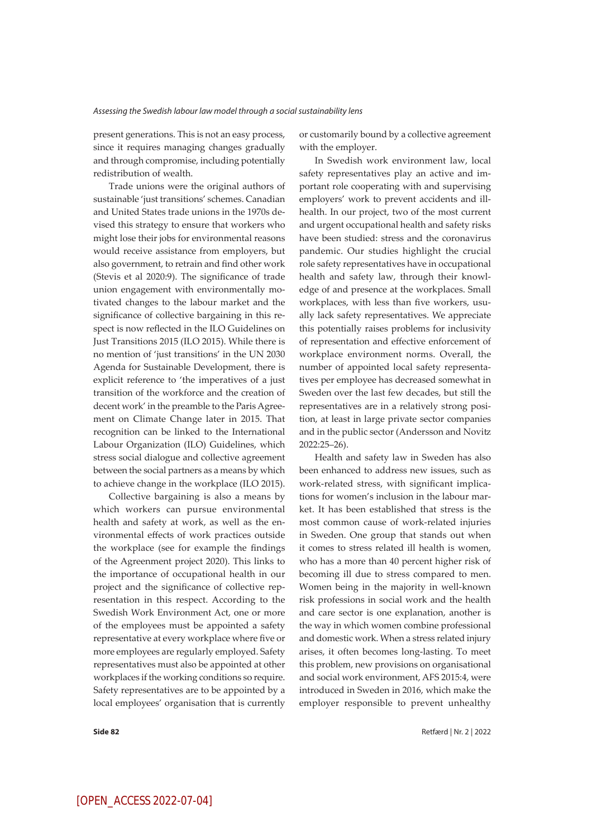present generations. This is not an easy process, since it requires managing changes gradually and through compromise, including potentially redistribution of wealth.

Trade unions were the original authors of sustainable 'just transitions' schemes. Canadian and United States trade unions in the 1970s devised this strategy to ensure that workers who might lose their jobs for environmental reasons would receive assistance from employers, but also government, to retrain and find other work (Stevis et al 2020:9). The significance of trade union engagement with environmentally motivated changes to the labour market and the significance of collective bargaining in this respect is now reflected in the ILO Guidelines on Just Transitions 2015 (ILO 2015). While there is no mention of 'just transitions' in the UN 2030 Agenda for Sustainable Development, there is explicit reference to 'the imperatives of a just transition of the workforce and the creation of decent work' in the preamble to the Paris Agreement on Climate Change later in 2015. That recognition can be linked to the International Labour Organization (ILO) Guidelines, which stress social dialogue and collective agreement between the social partners as a means by which to achieve change in the workplace (ILO 2015).

Collective bargaining is also a means by which workers can pursue environmental health and safety at work, as well as the environmental effects of work practices outside the workplace (see for example the findings of the Agreenment project 2020). This links to the importance of occupational health in our project and the significance of collective representation in this respect. According to the Swedish Work Environment Act, one or more of the employees must be appointed a safety representative at every workplace where five or more employees are regularly employed. Safety representatives must also be appointed at other workplaces if the working conditions so require. Safety representatives are to be appointed by a local employees' organisation that is currently

or customarily bound by a collective agreement with the employer.

In Swedish work environment law, local safety representatives play an active and important role cooperating with and supervising employers' work to prevent accidents and illhealth. In our project, two of the most current and urgent occupational health and safety risks have been studied: stress and the coronavirus pandemic. Our studies highlight the crucial role safety representatives have in occupational health and safety law, through their knowledge of and presence at the workplaces. Small workplaces, with less than five workers, usually lack safety representatives. We appreciate this potentially raises problems for inclusivity of representation and effective enforcement of workplace environment norms. Overall, the number of appointed local safety representatives per employee has decreased somewhat in Sweden over the last few decades, but still the representatives are in a relatively strong position, at least in large private sector companies and in the public sector (Andersson and Novitz 2022:25–26).

Health and safety law in Sweden has also been enhanced to address new issues, such as work-related stress, with significant implications for women's inclusion in the labour market. It has been established that stress is the most common cause of work-related injuries in Sweden. One group that stands out when it comes to stress related ill health is women, who has a more than 40 percent higher risk of becoming ill due to stress compared to men. Women being in the majority in well-known risk professions in social work and the health and care sector is one explanation, another is the way in which women combine professional and domestic work. When a stress related injury arises, it often becomes long-lasting. To meet this problem, new provisions on organisational and social work environment, AFS 2015:4, were introduced in Sweden in 2016, which make the employer responsible to prevent unhealthy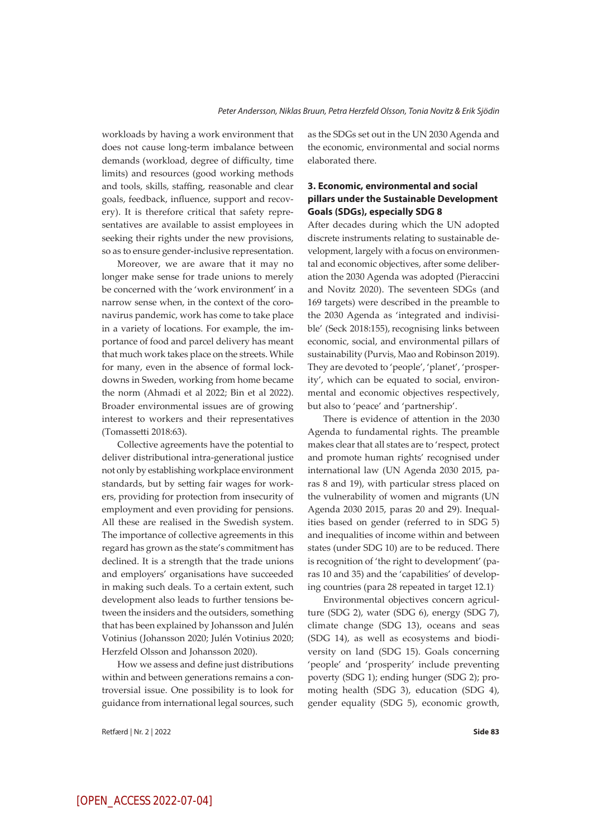workloads by having a work environment that does not cause long-term imbalance between demands (workload, degree of difficulty, time limits) and resources (good working methods and tools, skills, staffing, reasonable and clear goals, feedback, influence, support and recovery). It is therefore critical that safety representatives are available to assist employees in seeking their rights under the new provisions, so as to ensure gender-inclusive representation.

Moreover, we are aware that it may no longer make sense for trade unions to merely be concerned with the 'work environment' in a narrow sense when, in the context of the coronavirus pandemic, work has come to take place in a variety of locations. For example, the importance of food and parcel delivery has meant that much work takes place on the streets. While for many, even in the absence of formal lockdowns in Sweden, working from home became the norm (Ahmadi et al 2022; Bin et al 2022). Broader environmental issues are of growing interest to workers and their representatives (Tomassetti 2018:63).

Collective agreements have the potential to deliver distributional intra-generational justice not only by establishing workplace environment standards, but by setting fair wages for workers, providing for protection from insecurity of employment and even providing for pensions. All these are realised in the Swedish system. The importance of collective agreements in this regard has grown as the state's commitment has declined. It is a strength that the trade unions and employers' organisations have succeeded in making such deals. To a certain extent, such development also leads to further tensions between the insiders and the outsiders, something that has been explained by Johansson and Julén Votinius (Johansson 2020; Julén Votinius 2020; Herzfeld Olsson and Johansson 2020).

How we assess and define just distributions within and between generations remains a controversial issue. One possibility is to look for guidance from international legal sources, such as the SDGs set out in the UN 2030 Agenda and the economic, environmental and social norms elaborated there.

## **3. Economic, environmental and social pillars under the Sustainable Development Goals (SDGs), especially SDG 8**

After decades during which the UN adopted discrete instruments relating to sustainable development, largely with a focus on environmental and economic objectives, after some deliberation the 2030 Agenda was adopted (Pieraccini and Novitz 2020). The seventeen SDGs (and 169 targets) were described in the preamble to the 2030 Agenda as 'integrated and indivisible' (Seck 2018:155), recognising links between economic, social, and environmental pillars of sustainability (Purvis, Mao and Robinson 2019). They are devoted to 'people', 'planet', 'prosperity', which can be equated to social, environmental and economic objectives respectively, but also to 'peace' and 'partnership'.

There is evidence of attention in the 2030 Agenda to fundamental rights. The preamble makes clear that all states are to 'respect, protect and promote human rights' recognised under international law (UN Agenda 2030 2015, paras 8 and 19), with particular stress placed on the vulnerability of women and migrants (UN Agenda 2030 2015, paras 20 and 29). Inequalities based on gender (referred to in SDG 5) and inequalities of income within and between states (under SDG 10) are to be reduced. There is recognition of 'the right to development' (paras 10 and 35) and the 'capabilities' of developing countries (para 28 repeated in target 12.1).

Environmental objectives concern agriculture (SDG 2), water (SDG 6), energy (SDG 7), climate change (SDG 13), oceans and seas (SDG 14), as well as ecosystems and biodiversity on land (SDG 15). Goals concerning 'people' and 'prosperity' include preventing poverty (SDG 1); ending hunger (SDG 2); promoting health (SDG 3), education (SDG 4), gender equality (SDG 5), economic growth,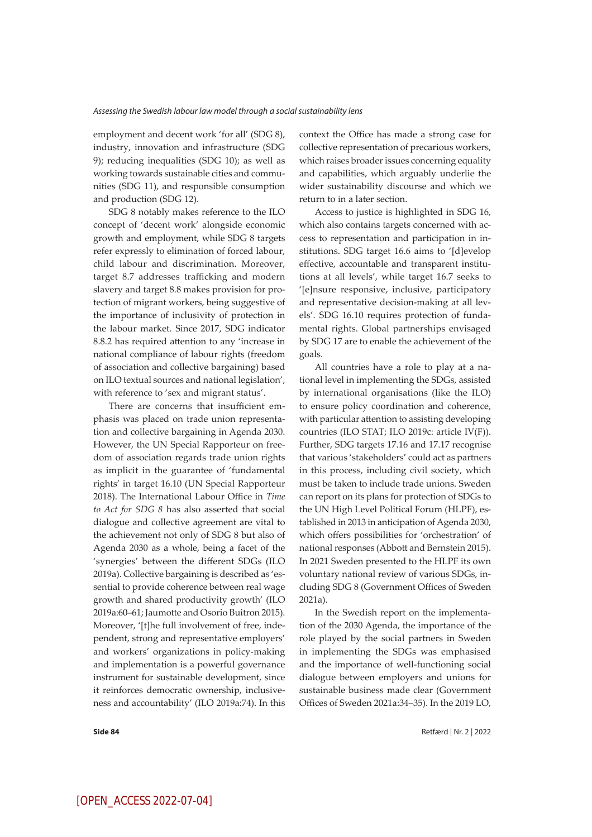employment and decent work 'for all' (SDG 8), industry, innovation and infrastructure (SDG 9); reducing inequalities (SDG 10); as well as working towards sustainable cities and communities (SDG 11), and responsible consumption and production (SDG 12).

SDG 8 notably makes reference to the ILO concept of 'decent work' alongside economic growth and employment, while SDG 8 targets refer expressly to elimination of forced labour, child labour and discrimination. Moreover, target 8.7 addresses trafficking and modern slavery and target 8.8 makes provision for protection of migrant workers, being suggestive of the importance of inclusivity of protection in the labour market. Since 2017, SDG indicator 8.8.2 has required attention to any 'increase in national compliance of labour rights (freedom of association and collective bargaining) based on ILO textual sources and national legislation', with reference to 'sex and migrant status'.

There are concerns that insufficient emphasis was placed on trade union representation and collective bargaining in Agenda 2030. However, the UN Special Rapporteur on freedom of association regards trade union rights as implicit in the guarantee of 'fundamental rights' in target 16.10 (UN Special Rapporteur 2018). The International Labour Office in *Time to Act for SDG 8* has also asserted that social dialogue and collective agreement are vital to the achievement not only of SDG 8 but also of Agenda 2030 as a whole, being a facet of the 'synergies' between the different SDGs (ILO 2019a). Collective bargaining is described as 'essential to provide coherence between real wage growth and shared productivity growth' (ILO 2019a:60–61; Jaumotte and Osorio Buitron 2015). Moreover, '[t]he full involvement of free, independent, strong and representative employers' and workers' organizations in policy-making and implementation is a powerful governance instrument for sustainable development, since it reinforces democratic ownership, inclusiveness and accountability' (ILO 2019a:74). In this

context the Office has made a strong case for collective representation of precarious workers, which raises broader issues concerning equality and capabilities, which arguably underlie the wider sustainability discourse and which we return to in a later section.

Access to justice is highlighted in SDG 16, which also contains targets concerned with access to representation and participation in institutions. SDG target 16.6 aims to '[d]evelop effective, accountable and transparent institutions at all levels', while target 16.7 seeks to '[e]nsure responsive, inclusive, participatory and representative decision-making at all levels'. SDG 16.10 requires protection of fundamental rights. Global partnerships envisaged by SDG 17 are to enable the achievement of the goals.

All countries have a role to play at a national level in implementing the SDGs, assisted by international organisations (like the ILO) to ensure policy coordination and coherence, with particular attention to assisting developing countries (ILO STAT; ILO 2019c: article IV(F)). Further, SDG targets 17.16 and 17.17 recognise that various 'stakeholders' could act as partners in this process, including civil society, which must be taken to include trade unions. Sweden can report on its plans for protection of SDGs to the UN High Level Political Forum (HLPF), established in 2013 in anticipation of Agenda 2030, which offers possibilities for 'orchestration' of national responses (Abbott and Bernstein 2015). In 2021 Sweden presented to the HLPF its own voluntary national review of various SDGs, including SDG 8 (Government Offices of Sweden 2021a).

In the Swedish report on the implementation of the 2030 Agenda, the importance of the role played by the social partners in Sweden in implementing the SDGs was emphasised and the importance of well-functioning social dialogue between employers and unions for sustainable business made clear (Government Offices of Sweden 2021a:34–35). In the 2019 LO,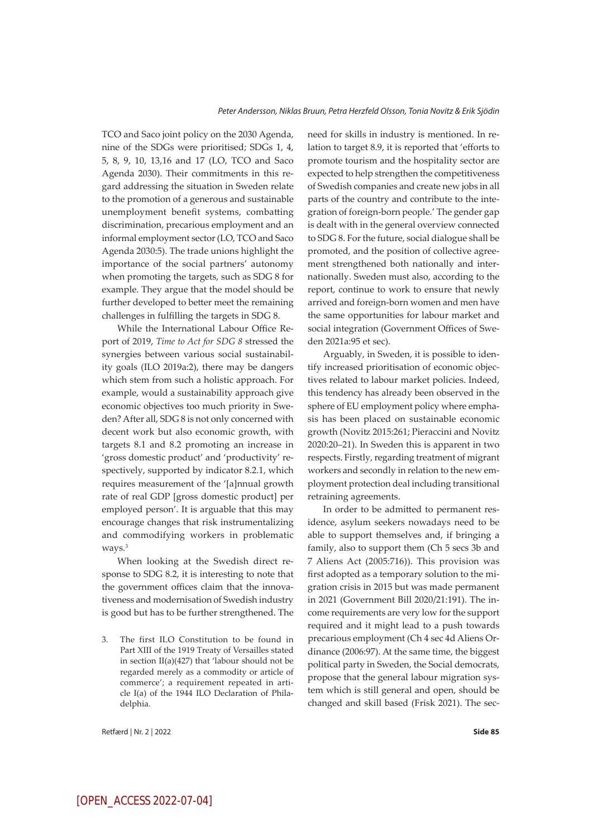TCO and Saco joint policy on the 2030 Agenda, nine of the SDGs were prioritised; SDGs 1, 4, 5, 8, 9, 10, 13,16 and 17 (LO, TCO and Saco Agenda 2030). Their commitments in this regard addressing the situation in Sweden relate to the promotion of a generous and sustainable unemployment benefit systems, combatting discrimination, precarious employment and an informal employment sector (LO, TCO and Saco Agenda 2030:5). The trade unions highlight the importance of the social partners' autonomy when promoting the targets, such as SDG 8 for example. They argue that the model should be further developed to better meet the remaining challenges in fulfilling the targets in SDG 8.

While the International Labour Office Report of 2019, *Time to Act for SDG 8* stressed the synergies between various social sustainability goals (ILO 2019a:2), there may be dangers which stem from such a holistic approach. For example, would a sustainability approach give economic objectives too much priority in Sweden? After all, SDG 8 is not only concerned with decent work but also economic growth, with targets 8.1 and 8.2 promoting an increase in 'gross domestic product' and 'productivity' respectively, supported by indicator 8.2.1, which requires measurement of the '[a]nnual growth rate of real GDP [gross domestic product] per employed person'. It is arguable that this may encourage changes that risk instrumentalizing and commodifying workers in problematic ways.<sup>3</sup>

When looking at the Swedish direct response to SDG 8.2, it is interesting to note that the government offices claim that the innovativeness and modernisation of Swedish industry is good but has to be further strengthened. The

3. The first ILO Constitution to be found in Part XIII of the 1919 Treaty of Versailles stated in section II(a)(427) that 'labour should not be regarded merely as a commodity or article of commerce'; a requirement repeated in article I(a) of the 1944 ILO Declaration of Philadelphia.

need for skills in industry is mentioned. In relation to target 8.9, it is reported that 'efforts to promote tourism and the hospitality sector are expected to help strengthen the competitiveness of Swedish companies and create new jobs in all parts of the country and contribute to the integration of foreign-born people.' The gender gap is dealt with in the general overview connected to SDG 8. For the future, social dialogue shall be promoted, and the position of collective agreement strengthened both nationally and internationally. Sweden must also, according to the report, continue to work to ensure that newly arrived and foreign-born women and men have the same opportunities for labour market and social integration (Government Offices of Sweden 2021a:95 et sec).

Arguably, in Sweden, it is possible to identify increased prioritisation of economic objectives related to labour market policies. Indeed, this tendency has already been observed in the sphere of EU employment policy where emphasis has been placed on sustainable economic growth (Novitz 2015:261; Pieraccini and Novitz 2020:20–21). In Sweden this is apparent in two respects. Firstly, regarding treatment of migrant workers and secondly in relation to the new employment protection deal including transitional retraining agreements.

In order to be admitted to permanent residence, asylum seekers nowadays need to be able to support themselves and, if bringing a family, also to support them (Ch 5 secs 3b and 7 Aliens Act (2005:716)). This provision was first adopted as a temporary solution to the migration crisis in 2015 but was made permanent in 2021 (Government Bill 2020/21:191). The income requirements are very low for the support required and it might lead to a push towards precarious employment (Ch 4 sec 4d Aliens Ordinance (2006:97). At the same time, the biggest political party in Sweden, the Social democrats, propose that the general labour migration system which is still general and open, should be changed and skill based (Frisk 2021). The sec-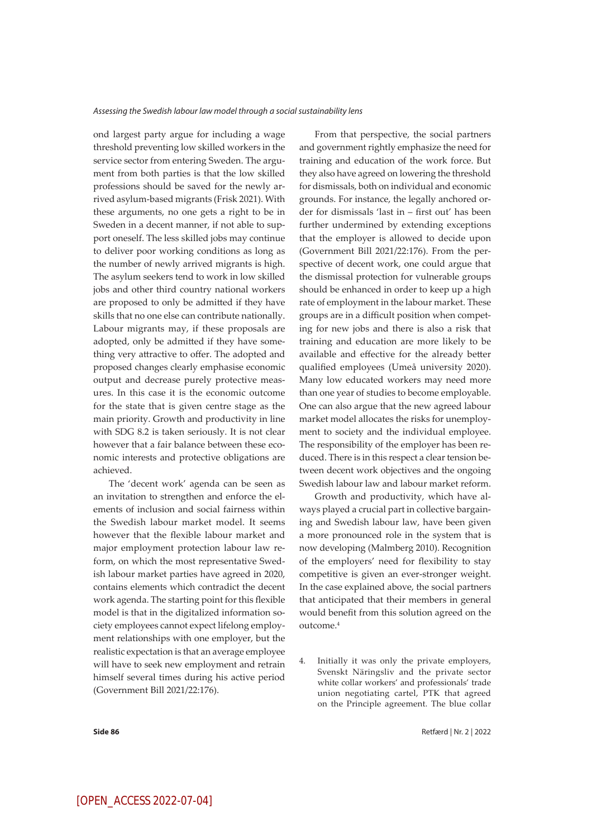ond largest party argue for including a wage threshold preventing low skilled workers in the service sector from entering Sweden. The argument from both parties is that the low skilled professions should be saved for the newly arrived asylum-based migrants (Frisk 2021). With these arguments, no one gets a right to be in Sweden in a decent manner, if not able to support oneself. The less skilled jobs may continue to deliver poor working conditions as long as the number of newly arrived migrants is high. The asylum seekers tend to work in low skilled jobs and other third country national workers are proposed to only be admitted if they have skills that no one else can contribute nationally. Labour migrants may, if these proposals are adopted, only be admitted if they have something very attractive to offer. The adopted and proposed changes clearly emphasise economic output and decrease purely protective measures. In this case it is the economic outcome for the state that is given centre stage as the main priority. Growth and productivity in line with SDG 8.2 is taken seriously. It is not clear however that a fair balance between these economic interests and protective obligations are achieved.

The 'decent work' agenda can be seen as an invitation to strengthen and enforce the elements of inclusion and social fairness within the Swedish labour market model. It seems however that the flexible labour market and major employment protection labour law reform, on which the most representative Swedish labour market parties have agreed in 2020, contains elements which contradict the decent work agenda. The starting point for this flexible model is that in the digitalized information society employees cannot expect lifelong employment relationships with one employer, but the realistic expectation is that an average employee will have to seek new employment and retrain himself several times during his active period (Government Bill 2021/22:176).

From that perspective, the social partners and government rightly emphasize the need for training and education of the work force. But they also have agreed on lowering the threshold for dismissals, both on individual and economic grounds. For instance, the legally anchored order for dismissals 'last in – first out' has been further undermined by extending exceptions that the employer is allowed to decide upon (Government Bill 2021/22:176). From the perspective of decent work, one could argue that the dismissal protection for vulnerable groups should be enhanced in order to keep up a high rate of employment in the labour market. These groups are in a difficult position when competing for new jobs and there is also a risk that training and education are more likely to be available and effective for the already better qualified employees (Umeå university 2020). Many low educated workers may need more than one year of studies to become employable. One can also argue that the new agreed labour market model allocates the risks for unemployment to society and the individual employee. The responsibility of the employer has been reduced. There is in this respect a clear tension between decent work objectives and the ongoing Swedish labour law and labour market reform.

Growth and productivity, which have always played a crucial part in collective bargaining and Swedish labour law, have been given a more pronounced role in the system that is now developing (Malmberg 2010). Recognition of the employers' need for flexibility to stay competitive is given an ever-stronger weight. In the case explained above, the social partners that anticipated that their members in general would benefit from this solution agreed on the outcome.4

4. Initially it was only the private employers, Svenskt Näringsliv and the private sector white collar workers' and professionals' trade union negotiating cartel, PTK that agreed on the Principle agreement. The blue collar

**Side 86** Retfærd | Nr. 2 | 2022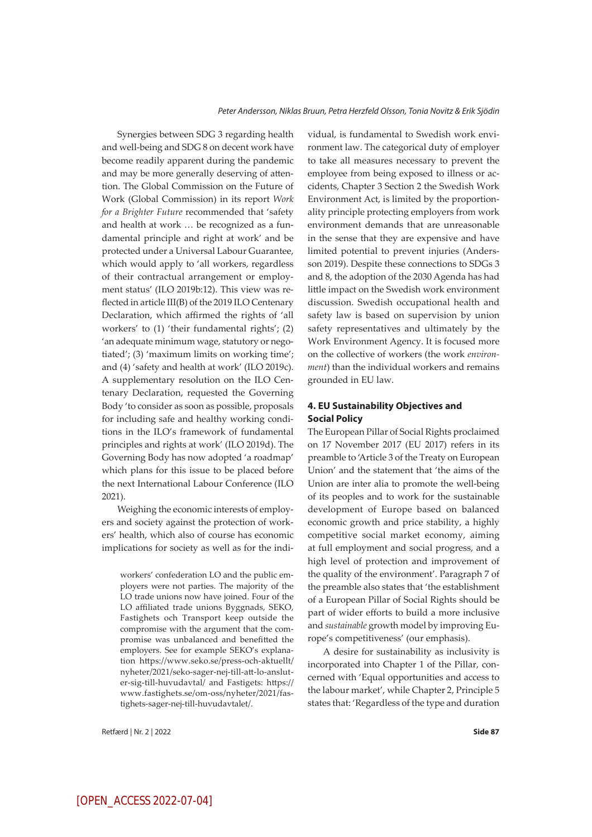Synergies between SDG 3 regarding health and well-being and SDG 8 on decent work have become readily apparent during the pandemic and may be more generally deserving of attention. The Global Commission on the Future of Work (Global Commission) in its report *Work for a Brighter Future* recommended that 'safety and health at work … be recognized as a fundamental principle and right at work' and be protected under a Universal Labour Guarantee, which would apply to 'all workers, regardless of their contractual arrangement or employment status' (ILO 2019b:12). This view was reflected in article III(B) of the 2019 ILO Centenary Declaration, which affirmed the rights of 'all workers' to (1) 'their fundamental rights'; (2) 'an adequate minimum wage, statutory or negotiated'; (3) 'maximum limits on working time'; and (4) 'safety and health at work' (ILO 2019c). A supplementary resolution on the ILO Centenary Declaration, requested the Governing Body 'to consider as soon as possible, proposals for including safe and healthy working conditions in the ILO's framework of fundamental principles and rights at work' (ILO 2019d). The Governing Body has now adopted 'a roadmap' which plans for this issue to be placed before the next International Labour Conference (ILO 2021).

Weighing the economic interests of employers and society against the protection of workers' health, which also of course has economic implications for society as well as for the indi-

workers' confederation LO and the public employers were not parties. The majority of the LO trade unions now have joined. Four of the LO affiliated trade unions Byggnads, SEKO, Fastighets och Transport keep outside the compromise with the argument that the compromise was unbalanced and benefitted the employers. See for example SEKO's explanation https://www.seko.se/press-och-aktuellt/ nyheter/2021/seko-sager-nej-till-att-lo-ansluter-sig-till-huvudavtal/ and Fastigets: https:// www.fastighets.se/om-oss/nyheter/2021/fastighets-sager-nej-till-huvudavtalet/.

Retfærd | Nr. 2 | 2022 **Side 87**

vidual, is fundamental to Swedish work environment law. The categorical duty of employer to take all measures necessary to prevent the employee from being exposed to illness or accidents, Chapter 3 Section 2 the Swedish Work Environment Act, is limited by the proportionality principle protecting employers from work environment demands that are unreasonable in the sense that they are expensive and have limited potential to prevent injuries (Andersson 2019). Despite these connections to SDGs 3 and 8, the adoption of the 2030 Agenda has had little impact on the Swedish work environment discussion. Swedish occupational health and safety law is based on supervision by union safety representatives and ultimately by the Work Environment Agency. It is focused more on the collective of workers (the work *environment*) than the individual workers and remains grounded in EU law.

#### **4. EU Sustainability Objectives and Social Policy**

The European Pillar of Social Rights proclaimed on 17 November 2017 (EU 2017) refers in its preamble to 'Article 3 of the Treaty on European Union' and the statement that 'the aims of the Union are inter alia to promote the well-being of its peoples and to work for the sustainable development of Europe based on balanced economic growth and price stability, a highly competitive social market economy, aiming at full employment and social progress, and a high level of protection and improvement of the quality of the environment'. Paragraph 7 of the preamble also states that 'the establishment of a European Pillar of Social Rights should be part of wider efforts to build a more inclusive and *sustainable* growth model by improving Europe's competitiveness' (our emphasis).

A desire for sustainability as inclusivity is incorporated into Chapter 1 of the Pillar, concerned with 'Equal opportunities and access to the labour market', while Chapter 2, Principle 5 states that: 'Regardless of the type and duration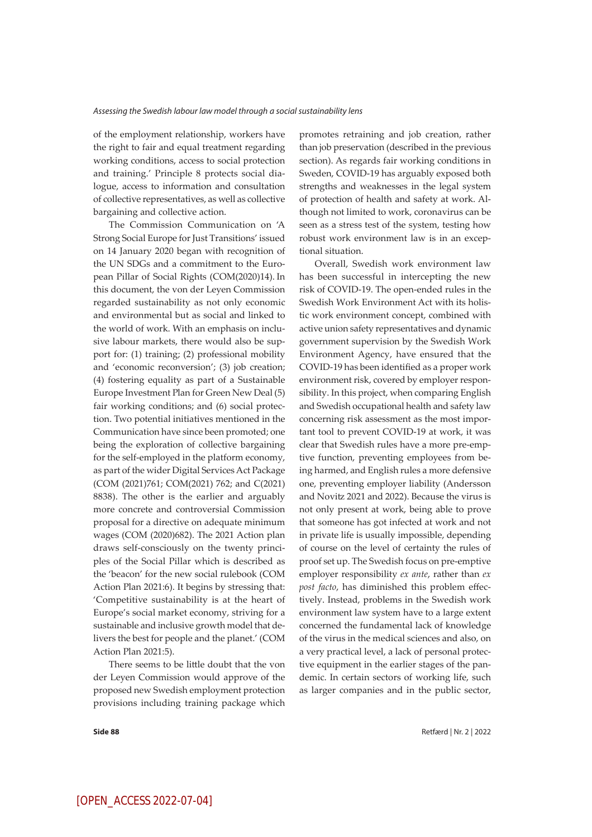of the employment relationship, workers have the right to fair and equal treatment regarding working conditions, access to social protection and training.' Principle 8 protects social dialogue, access to information and consultation of collective representatives, as well as collective bargaining and collective action.

The Commission Communication on 'A Strong Social Europe for Just Transitions' issued on 14 January 2020 began with recognition of the UN SDGs and a commitment to the European Pillar of Social Rights (COM(2020)14). In this document, the von der Leyen Commission regarded sustainability as not only economic and environmental but as social and linked to the world of work. With an emphasis on inclusive labour markets, there would also be support for: (1) training; (2) professional mobility and 'economic reconversion'; (3) job creation; (4) fostering equality as part of a Sustainable Europe Investment Plan for Green New Deal (5) fair working conditions; and (6) social protection. Two potential initiatives mentioned in the Communication have since been promoted; one being the exploration of collective bargaining for the self-employed in the platform economy, as part of the wider Digital ServicesAct Package (COM (2021)761; COM(2021) 762; and C(2021) 8838). The other is the earlier and arguably more concrete and controversial Commission proposal for a directive on adequate minimum wages (COM (2020)682). The 2021 Action plan draws self-consciously on the twenty principles of the Social Pillar which is described as the 'beacon' for the new social rulebook (COM Action Plan 2021:6). It begins by stressing that: 'Competitive sustainability is at the heart of Europe's social market economy, striving for a sustainable and inclusive growth model that delivers the best for people and the planet.' (COM Action Plan 2021:5).

There seems to be little doubt that the von der Leyen Commission would approve of the proposed new Swedish employment protection provisions including training package which

promotes retraining and job creation, rather than job preservation (described in the previous section). As regards fair working conditions in Sweden, COVID-19 has arguably exposed both strengths and weaknesses in the legal system of protection of health and safety at work. Although not limited to work, coronavirus can be seen as a stress test of the system, testing how robust work environment law is in an exceptional situation.

Overall, Swedish work environment law has been successful in intercepting the new risk of COVID-19. The open-ended rules in the Swedish Work Environment Act with its holistic work environment concept, combined with active union safety representatives and dynamic government supervision by the Swedish Work Environment Agency, have ensured that the COVID-19 has been identified as a proper work environment risk, covered by employer responsibility. In this project, when comparing English and Swedish occupational health and safety law concerning risk assessment as the most important tool to prevent COVID-19 at work, it was clear that Swedish rules have a more pre-emptive function, preventing employees from being harmed, and English rules a more defensive one, preventing employer liability (Andersson and Novitz 2021 and 2022). Because the virus is not only present at work, being able to prove that someone has got infected at work and not in private life is usually impossible, depending of course on the level of certainty the rules of proof set up. The Swedish focus on pre-emptive employer responsibility *ex ante*, rather than *ex post facto*, has diminished this problem effectively. Instead, problems in the Swedish work environment law system have to a large extent concerned the fundamental lack of knowledge of the virus in the medical sciences and also, on a very practical level, a lack of personal protective equipment in the earlier stages of the pandemic. In certain sectors of working life, such as larger companies and in the public sector,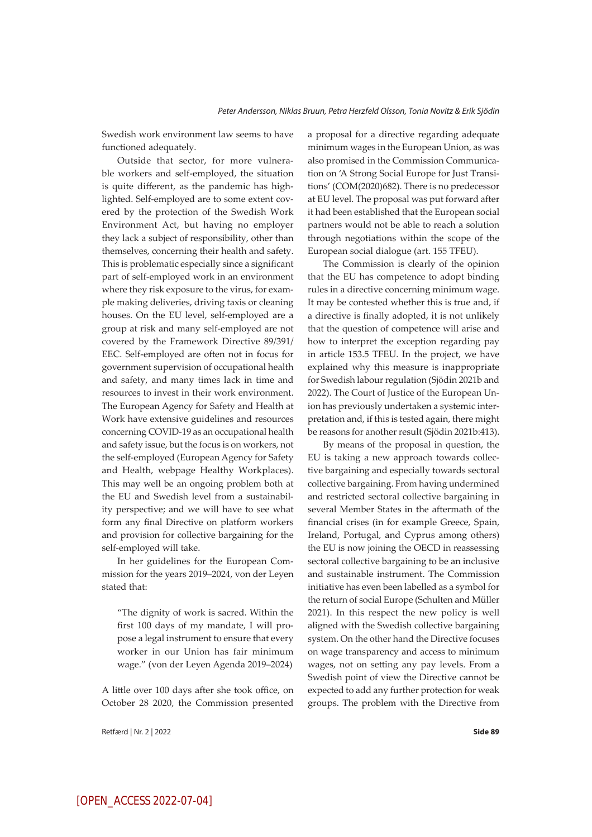Swedish work environment law seems to have functioned adequately.

Outside that sector, for more vulnerable workers and self-employed, the situation is quite different, as the pandemic has highlighted. Self-employed are to some extent covered by the protection of the Swedish Work Environment Act, but having no employer they lack a subject of responsibility, other than themselves, concerning their health and safety. This is problematic especially since a significant part of self-employed work in an environment where they risk exposure to the virus, for example making deliveries, driving taxis or cleaning houses. On the EU level, self-employed are a group at risk and many self-employed are not covered by the Framework Directive 89/391/ EEC. Self-employed are often not in focus for government supervision of occupational health and safety, and many times lack in time and resources to invest in their work environment. The European Agency for Safety and Health at Work have extensive guidelines and resources concerning COVID-19 as an occupational health and safety issue, but the focus is on workers, not the self-employed (European Agency for Safety and Health, webpage Healthy Workplaces). This may well be an ongoing problem both at the EU and Swedish level from a sustainability perspective; and we will have to see what form any final Directive on platform workers and provision for collective bargaining for the self-employed will take.

In her guidelines for the European Commission for the years 2019–2024, von der Leyen stated that:

"The dignity of work is sacred. Within the first 100 days of my mandate, I will propose a legal instrument to ensure that every worker in our Union has fair minimum wage." (von der Leyen Agenda 2019–2024)

A little over 100 days after she took office, on October 28 2020, the Commission presented

Retfærd | Nr. 2 | 2022 **Side 89**

a proposal for a directive regarding adequate minimum wages in the European Union, as was also promised in the Commission Communication on 'A Strong Social Europe for Just Transitions' (COM(2020)682). There is no predecessor at EU level. The proposal was put forward after it had been established that the European social partners would not be able to reach a solution through negotiations within the scope of the European social dialogue (art. 155 TFEU).

The Commission is clearly of the opinion that the EU has competence to adopt binding rules in a directive concerning minimum wage. It may be contested whether this is true and, if a directive is finally adopted, it is not unlikely that the question of competence will arise and how to interpret the exception regarding pay in article 153.5 TFEU. In the project, we have explained why this measure is inappropriate for Swedish labour regulation (Sjödin 2021b and 2022). The Court of Justice of the European Union has previously undertaken a systemic interpretation and, if this is tested again, there might be reasons for another result (Sjödin 2021b:413).

By means of the proposal in question, the EU is taking a new approach towards collective bargaining and especially towards sectoral collective bargaining. From having undermined and restricted sectoral collective bargaining in several Member States in the aftermath of the financial crises (in for example Greece, Spain, Ireland, Portugal, and Cyprus among others) the EU is now joining the OECD in reassessing sectoral collective bargaining to be an inclusive and sustainable instrument. The Commission initiative has even been labelled as a symbol for the return of social Europe (Schulten and Müller 2021). In this respect the new policy is well aligned with the Swedish collective bargaining system. On the other hand the Directive focuses on wage transparency and access to minimum wages, not on setting any pay levels. From a Swedish point of view the Directive cannot be expected to add any further protection for weak groups. The problem with the Directive from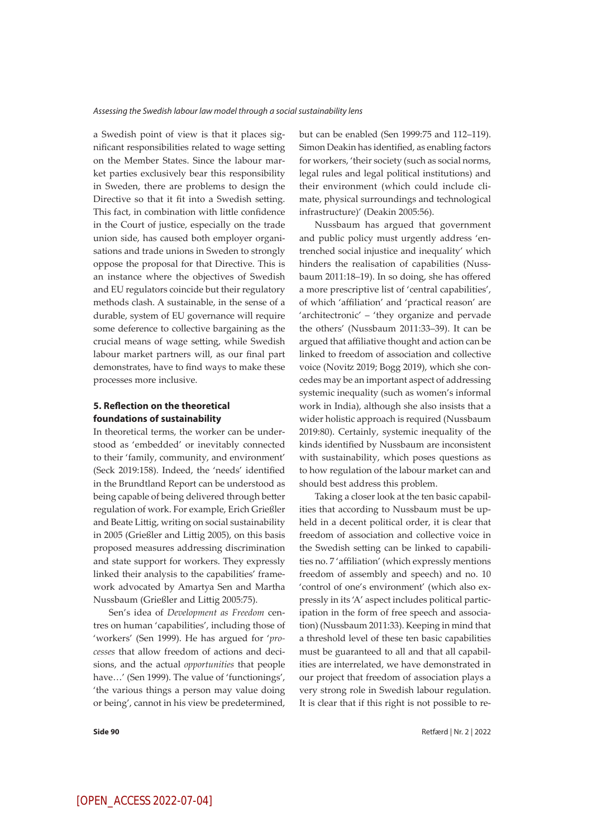a Swedish point of view is that it places significant responsibilities related to wage setting on the Member States. Since the labour market parties exclusively bear this responsibility in Sweden, there are problems to design the Directive so that it fit into a Swedish setting. This fact, in combination with little confidence in the Court of justice, especially on the trade union side, has caused both employer organisations and trade unions in Sweden to strongly oppose the proposal for that Directive. This is an instance where the objectives of Swedish and EU regulators coincide but their regulatory methods clash. A sustainable, in the sense of a durable, system of EU governance will require some deference to collective bargaining as the crucial means of wage setting, while Swedish labour market partners will, as our final part demonstrates, have to find ways to make these processes more inclusive.

#### **5. Reflection on the theoretical foundations of sustainability**

In theoretical terms, the worker can be understood as 'embedded' or inevitably connected to their 'family, community, and environment' (Seck 2019:158). Indeed, the 'needs' identified in the Brundtland Report can be understood as being capable of being delivered through better regulation of work. For example, Erich Grießler and Beate Littig, writing on social sustainability in 2005 (Grießler and Littig 2005), on this basis proposed measures addressing discrimination and state support for workers. They expressly linked their analysis to the capabilities' framework advocated by Amartya Sen and Martha Nussbaum (Grießler and Littig 2005:75).

Sen's idea of *Development as Freedom* centres on human 'capabilities', including those of 'workers' (Sen 1999). He has argued for '*processes* that allow freedom of actions and decisions, and the actual *opportunities* that people have…' (Sen 1999). The value of 'functionings', 'the various things a person may value doing or being', cannot in his view be predetermined,

but can be enabled (Sen 1999:75 and 112–119). Simon Deakin has identified, as enabling factors for workers, 'their society (such as social norms, legal rules and legal political institutions) and their environment (which could include climate, physical surroundings and technological infrastructure)' (Deakin 2005:56).

Nussbaum has argued that government and public policy must urgently address 'entrenched social injustice and inequality' which hinders the realisation of capabilities (Nussbaum 2011:18–19). In so doing, she has offered a more prescriptive list of 'central capabilities', of which 'affiliation' and 'practical reason' are 'architectronic' – 'they organize and pervade the others' (Nussbaum 2011:33–39). It can be argued that affiliative thought and action can be linked to freedom of association and collective voice (Novitz 2019; Bogg 2019), which she concedes may be an important aspect of addressing systemic inequality (such as women's informal work in India), although she also insists that a wider holistic approach is required (Nussbaum 2019:80). Certainly, systemic inequality of the kinds identified by Nussbaum are inconsistent with sustainability, which poses questions as to how regulation of the labour market can and should best address this problem.

Taking a closer look at the ten basic capabilities that according to Nussbaum must be upheld in a decent political order, it is clear that freedom of association and collective voice in the Swedish setting can be linked to capabilities no. 7 'affiliation' (which expressly mentions freedom of assembly and speech) and no. 10 'control of one's environment' (which also expressly in its 'A' aspect includes political participation in the form of free speech and association) (Nussbaum 2011:33). Keeping in mind that a threshold level of these ten basic capabilities must be guaranteed to all and that all capabilities are interrelated, we have demonstrated in our project that freedom of association plays a very strong role in Swedish labour regulation. It is clear that if this right is not possible to re-

**Side 90** Retfærd | Nr. 2 | 2022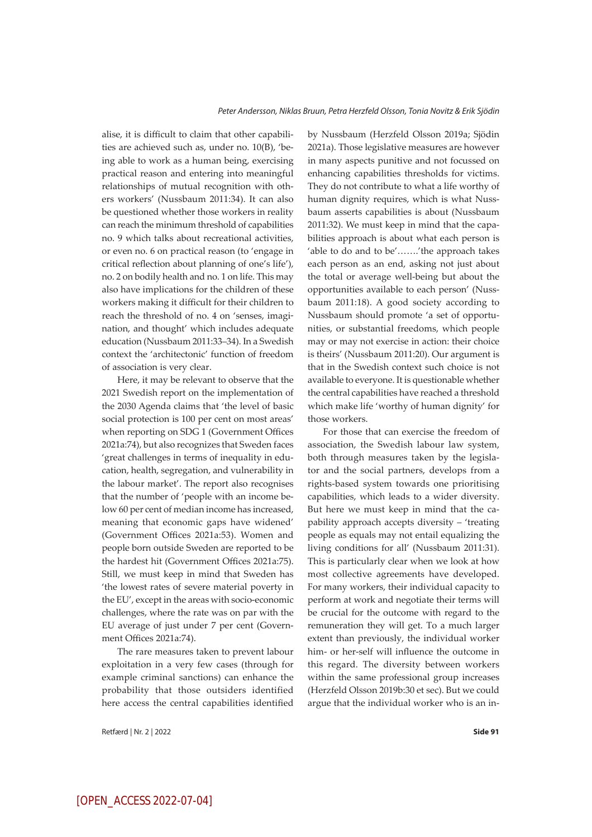alise, it is difficult to claim that other capabilities are achieved such as, under no. 10(B), 'being able to work as a human being, exercising practical reason and entering into meaningful relationships of mutual recognition with others workers' (Nussbaum 2011:34). It can also be questioned whether those workers in reality can reach the minimum threshold of capabilities no. 9 which talks about recreational activities, or even no. 6 on practical reason (to 'engage in critical reflection about planning of one's life'), no. 2 on bodily health and no. 1 on life. This may also have implications for the children of these workers making it difficult for their children to reach the threshold of no. 4 on 'senses, imagination, and thought' which includes adequate education (Nussbaum 2011:33–34). In a Swedish context the 'architectonic' function of freedom of association is very clear.

Here, it may be relevant to observe that the 2021 Swedish report on the implementation of the 2030 Agenda claims that 'the level of basic social protection is 100 per cent on most areas' when reporting on SDG 1 (Government Offices 2021a:74), but also recognizes that Sweden faces 'great challenges in terms of inequality in education, health, segregation, and vulnerability in the labour market'. The report also recognises that the number of 'people with an income below 60 per cent of median income has increased, meaning that economic gaps have widened' (Government Offices 2021a:53). Women and people born outside Sweden are reported to be the hardest hit (Government Offices 2021a:75). Still, we must keep in mind that Sweden has 'the lowest rates of severe material poverty in the EU', except in the areas with socio-economic challenges, where the rate was on par with the EU average of just under 7 per cent (Government Offices 2021a:74).

The rare measures taken to prevent labour exploitation in a very few cases (through for example criminal sanctions) can enhance the probability that those outsiders identified here access the central capabilities identified

Retfærd | Nr. 2 | 2022 **Side 91**

by Nussbaum (Herzfeld Olsson 2019a; Sjödin 2021a). Those legislative measures are however in many aspects punitive and not focussed on enhancing capabilities thresholds for victims. They do not contribute to what a life worthy of human dignity requires, which is what Nussbaum asserts capabilities is about (Nussbaum 2011:32). We must keep in mind that the capabilities approach is about what each person is 'able to do and to be'…….'the approach takes each person as an end, asking not just about the total or average well-being but about the opportunities available to each person' (Nussbaum 2011:18). A good society according to Nussbaum should promote 'a set of opportunities, or substantial freedoms, which people may or may not exercise in action: their choice is theirs' (Nussbaum 2011:20). Our argument is that in the Swedish context such choice is not available to everyone. It is questionable whether the central capabilities have reached a threshold which make life 'worthy of human dignity' for those workers.

For those that can exercise the freedom of association, the Swedish labour law system, both through measures taken by the legislator and the social partners, develops from a rights-based system towards one prioritising capabilities, which leads to a wider diversity. But here we must keep in mind that the capability approach accepts diversity – 'treating people as equals may not entail equalizing the living conditions for all' (Nussbaum 2011:31). This is particularly clear when we look at how most collective agreements have developed. For many workers, their individual capacity to perform at work and negotiate their terms will be crucial for the outcome with regard to the remuneration they will get. To a much larger extent than previously, the individual worker him- or her-self will influence the outcome in this regard. The diversity between workers within the same professional group increases (Herzfeld Olsson 2019b:30 et sec). But we could argue that the individual worker who is an in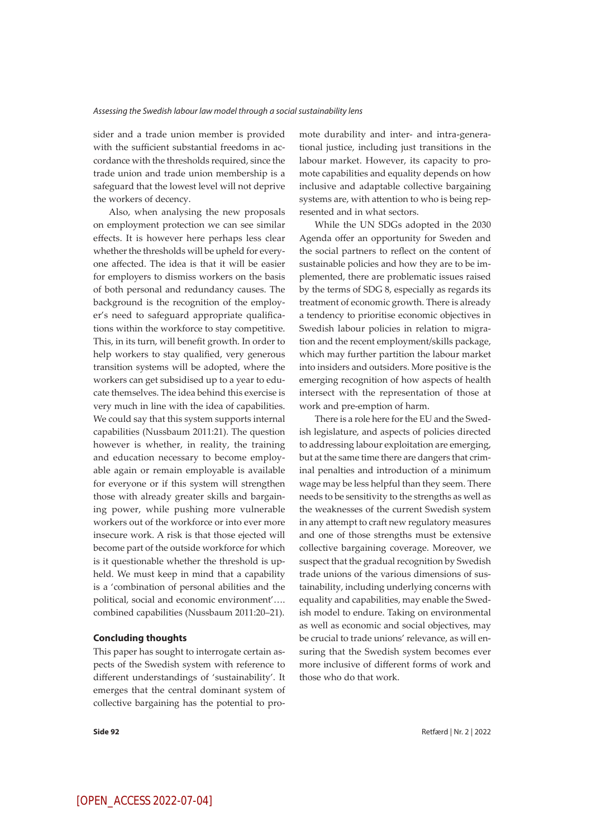sider and a trade union member is provided with the sufficient substantial freedoms in accordance with the thresholds required, since the trade union and trade union membership is a safeguard that the lowest level will not deprive the workers of decency.

Also, when analysing the new proposals on employment protection we can see similar effects. It is however here perhaps less clear whether the thresholds will be upheld for everyone affected. The idea is that it will be easier for employers to dismiss workers on the basis of both personal and redundancy causes. The background is the recognition of the employer's need to safeguard appropriate qualifications within the workforce to stay competitive. This, in its turn, will benefit growth. In order to help workers to stay qualified, very generous transition systems will be adopted, where the workers can get subsidised up to a year to educate themselves. The idea behind this exercise is very much in line with the idea of capabilities. We could say that this system supports internal capabilities (Nussbaum 2011:21). The question however is whether, in reality, the training and education necessary to become employable again or remain employable is available for everyone or if this system will strengthen those with already greater skills and bargaining power, while pushing more vulnerable workers out of the workforce or into ever more insecure work. A risk is that those ejected will become part of the outside workforce for which is it questionable whether the threshold is upheld. We must keep in mind that a capability is a 'combination of personal abilities and the political, social and economic environment'…. combined capabilities (Nussbaum 2011:20–21).

#### **Concluding thoughts**

This paper has sought to interrogate certain aspects of the Swedish system with reference to different understandings of 'sustainability'. It emerges that the central dominant system of collective bargaining has the potential to promote durability and inter- and intra-generational justice, including just transitions in the labour market. However, its capacity to promote capabilities and equality depends on how inclusive and adaptable collective bargaining systems are, with attention to who is being represented and in what sectors.

While the UN SDGs adopted in the 2030 Agenda offer an opportunity for Sweden and the social partners to reflect on the content of sustainable policies and how they are to be implemented, there are problematic issues raised by the terms of SDG 8, especially as regards its treatment of economic growth. There is already a tendency to prioritise economic objectives in Swedish labour policies in relation to migration and the recent employment/skills package, which may further partition the labour market into insiders and outsiders. More positive is the emerging recognition of how aspects of health intersect with the representation of those at work and pre-emption of harm.

There is a role here for the EU and the Swedish legislature, and aspects of policies directed to addressing labour exploitation are emerging, but at the same time there are dangers that criminal penalties and introduction of a minimum wage may be less helpful than they seem. There needs to be sensitivity to the strengths as well as the weaknesses of the current Swedish system in any attempt to craft new regulatory measures and one of those strengths must be extensive collective bargaining coverage. Moreover, we suspect that the gradual recognition by Swedish trade unions of the various dimensions of sustainability, including underlying concerns with equality and capabilities, may enable the Swedish model to endure. Taking on environmental as well as economic and social objectives, may be crucial to trade unions' relevance, as will ensuring that the Swedish system becomes ever more inclusive of different forms of work and those who do that work.

**Side 92** Retfærd | Nr. 2 | 2022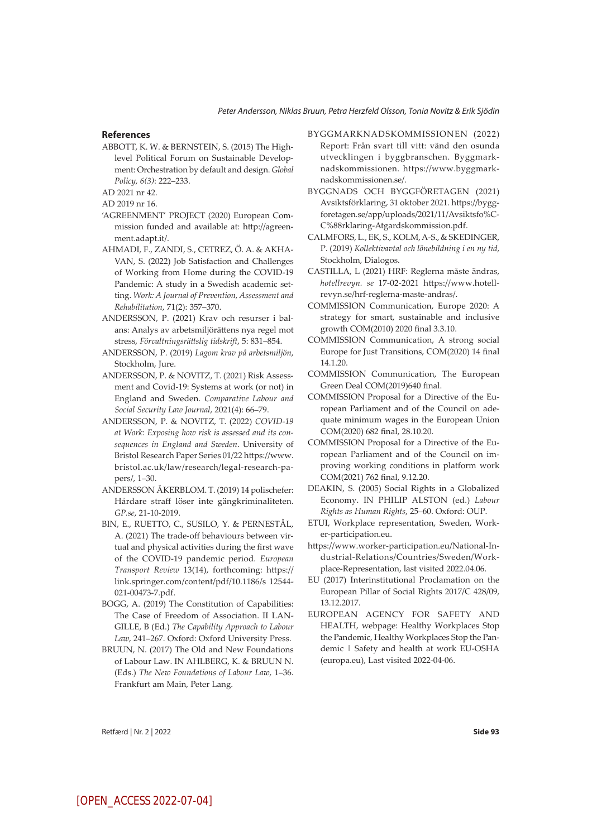#### **References**

ABBOTT, K. W. & BERNSTEIN, S. (2015) The High‐ level Political Forum on Sustainable Development: Orchestration by default and design. *Global Policy, 6(3)*: 222–233.

AD 2021 nr 42.

AD 2019 nr 16.

- 'AGREENMENT' PROJECT (2020) European Commission funded and available at: http://agreenment.adapt.it/.
- AHMADI, F., ZANDI, S., CETREZ, Ö. A. & AKHA-VAN, S. (2022) Job Satisfaction and Challenges of Working from Home during the COVID-19 Pandemic: A study in a Swedish academic setting. *Work: A Journal of Prevention, Assessment and Rehabilitation*, 71(2): 357–370.
- ANDERSSON, P. (2021) Krav och resurser i balans: Analys av arbetsmiljörättens nya regel mot stress, *Förvaltningsrättslig tidskrift*, 5: 831–854.
- ANDERSSON, P. (2019) *Lagom krav på arbetsmiljön*, Stockholm, Jure.
- ANDERSSON, P. & NOVITZ, T. (2021) Risk Assessment and Covid-19: Systems at work (or not) in England and Sweden. *Comparative Labour and Social Security Law Journal*, 2021(4): 66–79.
- ANDERSSON, P. & NOVITZ, T. (2022) *COVID-19 at Work: Exposing how risk is assessed and its consequences in England and Sweden*. University of Bristol Research Paper Series 01/22 https://www. bristol.ac.uk/law/research/legal-research-papers/, 1–30.
- ANDERSSON ÅKERBLOM. T. (2019) 14 polischefer: Hårdare straff löser inte gängkriminaliteten. *GP.se*, 21-10-2019.
- BIN, E., RUETTO, C., SUSILO, Y. & PERNESTÅL, A. (2021) The trade-off behaviours between virtual and physical activities during the first wave of the COVID-19 pandemic period. *European Transport Review* 13(14), forthcoming: https:// link.springer.com/content/pdf/10.1186/s 12544- 021-00473-7.pdf.
- BOGG, A. (2019) The Constitution of Capabilities: The Case of Freedom of Association. II LAN-GILLE, B (Ed.) *The Capability Approach to Labour Law*, 241–267. Oxford: Oxford University Press.
- BRUUN, N. (2017) The Old and New Foundations of Labour Law. IN AHLBERG, K. & BRUUN N. (Eds.) *The New Foundations of Labour Law*, 1–36. Frankfurt am Main, Peter Lang.
- BYGGMARKNADSKOMMISSIONEN (2022) Report: Från svart till vitt: vänd den osunda utvecklingen i byggbranschen. Byggmarknadskommissionen. https://www.byggmarknadskommissionen.se/.
- BYGGNADS OCH BYGGFÖRETAGEN (2021) Avsiktsförklaring, 31 oktober 2021. https://byggforetagen.se/app/uploads/2021/11/Avsiktsfo%C-C%88rklaring-Atgardskommission.pdf.
- CALMFORS, L., EK, S., KOLM, A-S., & SKEDINGER, P. (2019) *Kollektivavtal och lönebildning i en ny tid*, Stockholm, Dialogos.
- CASTILLA, L (2021) HRF: Reglerna måste ändras, *hotellrevyn. se* 17-02-2021 https://www.hotellrevyn.se/hrf-reglerna-maste-andras/.
- COMMISSION Communication, Europe 2020: A strategy for smart, sustainable and inclusive growth COM(2010) 2020 final 3.3.10.
- COMMISSION Communication, A strong social Europe for Just Transitions, COM(2020) 14 final 14.1.20.
- COMMISSION Communication, The European Green Deal COM(2019)640 final.
- COMMISSION Proposal for a Directive of the European Parliament and of the Council on adequate minimum wages in the European Union COM(2020) 682 final, 28.10.20.
- COMMISSION Proposal for a Directive of the European Parliament and of the Council on improving working conditions in platform work COM(2021) 762 final, 9.12.20.
- DEAKIN, S. (2005) Social Rights in a Globalized Economy. IN PHILIP ALSTON (ed.) *Labour Rights as Human Rights*, 25–60. Oxford: OUP.
- ETUI, Workplace representation, Sweden, Worker-participation.eu.
- https://www.worker-participation.eu/National-Industrial-Relations/Countries/Sweden/Workplace-Representation, last visited 2022.04.06.
- EU (2017) Interinstitutional Proclamation on the European Pillar of Social Rights 2017/C 428/09, 13.12.2017.
- EUROPEAN AGENCY FOR SAFETY AND HEALTH, webpage: Healthy Workplaces Stop the Pandemic, Healthy Workplaces Stop the Pandemic | Safety and health at work EU-OSHA (europa.eu), Last visited 2022-04-06.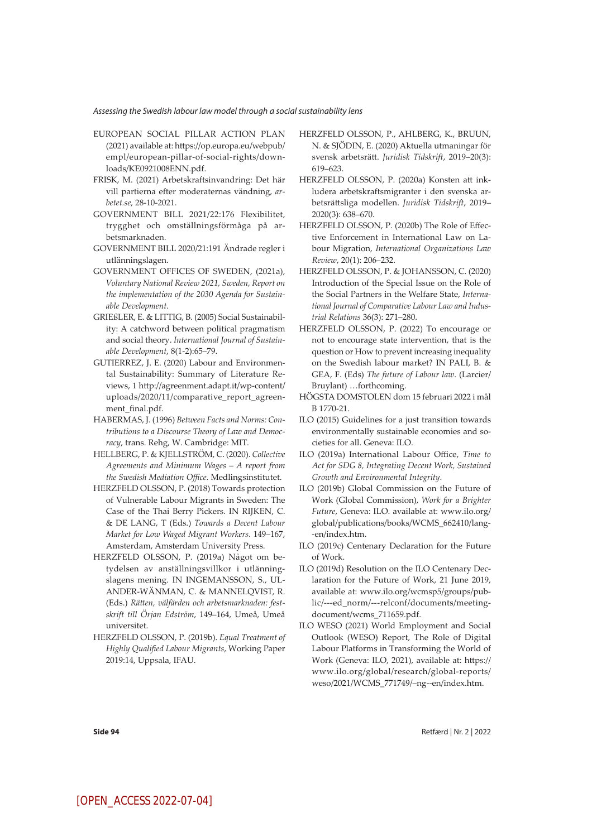#### *Assessing the Swedish labour law model through a social sustainability lens*

- EUROPEAN SOCIAL PILLAR ACTION PLAN (2021) available at: https://op.europa.eu/webpub/ empl/european-pillar-of-social-rights/downloads/KE0921008ENN.pdf.
- FRISK, M. (2021) Arbetskraftsinvandring: Det här vill partierna efter moderaternas vändning, *arbetet.se*, 28-10-2021.
- GOVERNMENT BILL 2021/22:176 Flexibilitet, trygghet och omställningsförmåga på arbetsmarknaden.
- GOVERNMENT BILL 2020/21:191 Ändrade regler i utlänningslagen.
- GOVERNMENT OFFICES OF SWEDEN, (2021a), *Voluntary National Review 2021, Sweden, Report on the implementation of the 2030 Agenda for Sustainable Development*.
- GRIEßLER, E. & LITTIG, B. (2005) Social Sustainability: A catchword between political pragmatism and social theory. *International Journal of Sustainable Development*, 8(1-2):65–79.
- GUTIERREZ, J. E. (2020) Labour and Environmental Sustainability: Summary of Literature Reviews, 1 http://agreenment.adapt.it/wp-content/ uploads/2020/11/comparative\_report\_agreenment\_final.pdf.
- HABERMAS, J. (1996) *Between Facts and Norms: Contributions to a Discourse Theory of Law and Democracy*, trans. Rehg, W. Cambridge: MIT.
- HELLBERG, P. & KJELLSTRÖM, C. (2020). *Collective Agreements and Minimum Wages – A report from the Swedish Mediation Office*. Medlingsinstitutet.
- HERZFELD OLSSON, P. (2018) Towards protection of Vulnerable Labour Migrants in Sweden: The Case of the Thai Berry Pickers. IN RIJKEN, C. & DE LANG, T (Eds.) *Towards a Decent Labour Market for Low Waged Migrant Workers*. 149–167, Amsterdam, Amsterdam University Press.
- HERZFELD OLSSON, P. (2019a) Något om betydelsen av anställningsvillkor i utlänningslagens mening. IN INGEMANSSON, S., UL-ANDER-WÄNMAN, C. & MANNELQVIST, R. (Eds.) *Rätten, välfärden och arbetsmarknaden: festskrift till Örjan Edström*, 149–164, Umeå, Umeå universitet.
- HERZFELD OLSSON, P. (2019b). *Equal Treatment of Highly Qualified Labour Migrants*, Working Paper 2019:14, Uppsala, IFAU.
- HERZFELD OLSSON, P., AHLBERG, K., BRUUN, N. & SJÖDIN, E. (2020) Aktuella utmaningar för svensk arbetsrätt. *Juridisk Tidskrift*, 2019–20(3): 619–623.
- HERZFELD OLSSON, P. (2020a) Konsten att inkludera arbetskraftsmigranter i den svenska arbetsrättsliga modellen. *Juridisk Tidskrift*, 2019– 2020(3): 638–670.
- HERZFELD OLSSON, P. (2020b) The Role of Effective Enforcement in International Law on Labour Migration, *International Organizations Law Review*, 20(1): 206–232.
- HERZFELD OLSSON, P. & JOHANSSON, C. (2020) Introduction of the Special Issue on the Role of the Social Partners in the Welfare State, *International Journal of Comparative Labour Law and Industrial Relations* 36(3): 271–280.
- HERZFELD OLSSON, P. (2022) To encourage or not to encourage state intervention, that is the question or How to prevent increasing inequality on the Swedish labour market? IN PALI, B. & GEA, F. (Eds) *The future of Labour law*. (Larcier/ Bruylant) …forthcoming.
- HÖGSTA DOMSTOLEN dom 15 februari 2022 i mål B 1770-21.
- ILO (2015) Guidelines for a just transition towards environmentally sustainable economies and societies for all. Geneva: ILO.
- ILO (2019a) International Labour Office, *Time to Act for SDG 8, Integrating Decent Work, Sustained Growth and Environmental Integrity*.
- ILO (2019b) Global Commission on the Future of Work (Global Commission), *Work for a Brighter Future*, Geneva: ILO. available at: www.ilo.org/ global/publications/books/WCMS\_662410/lang- -en/index.htm.
- ILO (2019c) Centenary Declaration for the Future of Work.
- ILO (2019d) Resolution on the ILO Centenary Declaration for the Future of Work, 21 June 2019, available at: www.ilo.org/wcmsp5/groups/public/---ed\_norm/---relconf/documents/meetingdocument/wcms\_711659.pdf.
- ILO WESO (2021) World Employment and Social Outlook (WESO) Report, The Role of Digital Labour Platforms in Transforming the World of Work (Geneva: ILO, 2021), available at: https:// www.ilo.org/global/research/global-reports/ weso/2021/WCMS\_771749/–ng--en/index.htm.

**Side 94** Retfærd | Nr. 2 | 2022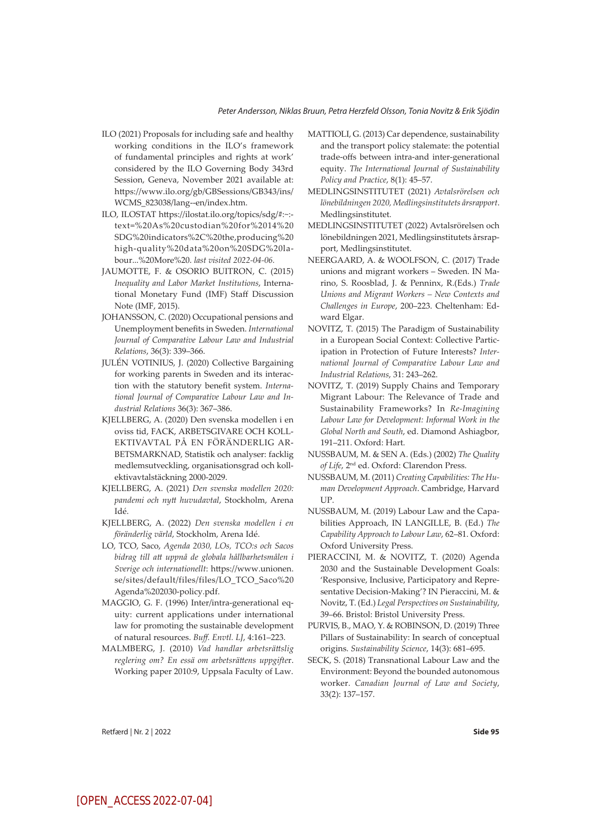- ILO (2021) Proposals for including safe and healthy working conditions in the ILO's framework of fundamental principles and rights at work' considered by the ILO Governing Body 343rd Session, Geneva, November 2021 available at: https://www.ilo.org/gb/GBSessions/GB343/ins/ WCMS\_823038/lang--en/index.htm.
- ILO, ILOSTAT https://ilostat.ilo.org/topics/sdg/#:~: text=%20As%20custodian%20for%2014%20 SDG%20indicators%2C%20the,producing%20 high-quality%20data%20on%20SDG%20labour...%20More%20. *last visited 2022-04-06.*
- JAUMOTTE, F. & OSORIO BUITRON, C. (2015) *Inequality and Labor Market Institutions*, International Monetary Fund (IMF) Staff Discussion Note (IMF, 2015).
- JOHANSSON, C. (2020) Occupational pensions and Unemployment benefits in Sweden. *International Journal of Comparative Labour Law and Industrial Relations*, 36(3): 339–366.
- JULÉN VOTINIUS, J. (2020) Collective Bargaining for working parents in Sweden and its interaction with the statutory benefit system. *International Journal of Comparative Labour Law and Industrial Relations* 36(3): 367–386.
- KJELLBERG, A. (2020) Den svenska modellen i en oviss tid, FACK, ARBETSGIVARE OCH KOLL-EKTIVAVTAL PÅ EN FÖRÄNDERLIG AR-BETSMARKNAD, Statistik och analyser: facklig medlemsutveckling, organisationsgrad och kollektivavtalstäckning 2000-2029.
- KJELLBERG, A. (2021) *Den svenska modellen 2020: pandemi och nytt huvudavtal*, Stockholm, Arena Idé.
- KJELLBERG, A. (2022) *Den svenska modellen i en föränderlig värld*, Stockholm, Arena Idé.
- LO, TCO, Saco, *Agenda 2030, LOs, TCO:s och Sacos bidrag till att uppnå de globala hållbarhetsmålen i Sverige och internationellt*: https://www.unionen. se/sites/default/files/files/LO\_TCO\_Saco%20 Agenda%202030-policy.pdf.
- MAGGIO, G. F. (1996) Inter/intra-generational equity: current applications under international law for promoting the sustainable development of natural resources. *Buff. Envtl. LJ*, 4:161–223.
- MALMBERG, J. (2010) *Vad handlar arbetsrättslig reglering om? En essä om arbetsrättens uppgifte*r. Working paper 2010:9, Uppsala Faculty of Law.
- MATTIOLI, G. (2013) Car dependence, sustainability and the transport policy stalemate: the potential trade-offs between intra-and inter-generational equity. *The International Journal of Sustainability Policy and Practice*, 8(1): 45–57.
- MEDLINGSINSTITUTET (2021) *Avtalsrörelsen och lönebildningen 2020, Medlingsinstitutets årsrapport*. Medlingsinstitutet.
- MEDLINGSINSTITUTET (2022) Avtalsrörelsen och lönebildningen 2021, Medlingsinstitutets årsrapport, Medlingsinstitutet.
- NEERGAARD, A. & WOOLFSON, C. (2017) Trade unions and migrant workers – Sweden. IN Marino, S. Roosblad, J. & Penninx, R.(Eds.) *Trade Unions and Migrant Workers – New Contexts and Challenges in Europe*, 200–223. Cheltenham: Edward Elgar.
- NOVITZ, T. (2015) The Paradigm of Sustainability in a European Social Context: Collective Participation in Protection of Future Interests? *International Journal of Comparative Labour Law and Industrial Relations*, 31: 243–262.
- NOVITZ, T. (2019) Supply Chains and Temporary Migrant Labour: The Relevance of Trade and Sustainability Frameworks? In *Re-Imagining Labour Law for Development: Informal Work in the Global North and South*, ed. Diamond Ashiagbor, 191–211. Oxford: Hart.
- NUSSBAUM, M. & SEN A. (Eds.) (2002) *The Quality of Life*, 2nd ed. Oxford: Clarendon Press.
- NUSSBAUM, M. (2011) *Creating Capabilities: The Human Development Approach*. Cambridge, Harvard UP.
- NUSSBAUM, M. (2019) Labour Law and the Capabilities Approach, IN LANGILLE, B. (Ed.) *The Capability Approach to Labour Law*, 62–81. Oxford: Oxford University Press.
- PIERACCINI, M. & NOVITZ, T. (2020) Agenda 2030 and the Sustainable Development Goals: 'Responsive, Inclusive, Participatory and Representative Decision-Making'? IN Pieraccini, M. & Novitz, T. (Ed.) *Legal Perspectives on Sustainability*, 39–66. Bristol: Bristol University Press.
- PURVIS, B., MAO, Y. & ROBINSON, D. (2019) Three Pillars of Sustainability: In search of conceptual origins. *Sustainability Science*, 14(3): 681–695.
- SECK, S. (2018) Transnational Labour Law and the Environment: Beyond the bounded autonomous worker. *Canadian Journal of Law and Society*, 33(2): 137–157.